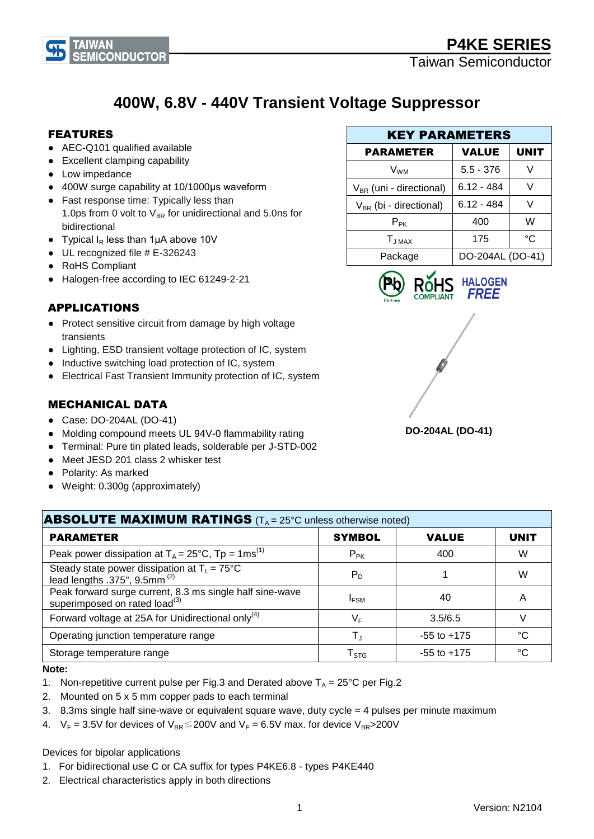# **400W, 6.8V - 440V Transient Voltage Suppressor**

## FEATURES

● AEC-Q101 qualified available

**ONDUCTOR** 

- Excellent clamping capability
- Low impedance
- 400W surge capability at 10/1000μs waveform
- Fast response time: Typically less than 1.0ps from 0 volt to  $V_{BR}$  for unidirectional and 5.0ns for bidirectional
- Typical  $I_R$  less than 1µA above 10V
- UL recognized file # E-326243
- RoHS Compliant
- Halogen-free according to IEC 61249-2-21

## APPLICATIONS

- Protect sensitive circuit from damage by high voltage transients
- Lighting, ESD transient voltage protection of IC, system
- Inductive switching load protection of IC, system
- Electrical Fast Transient Immunity protection of IC, system

## MECHANICAL DATA

- Case: DO-204AL (DO-41)
- Molding compound meets
- $\bullet$  Terminal: Pure tin plated
- Meet JESD 201 class 2 w
- Polarity: As marked
- $\bullet$  Weight: 0.300g (approxim

| UL 94V-0 flammability rating<br>leads, solderable per J-STD-002<br>hisker test <sup>,</sup><br>ately) |               | <b>DO-204AL (DO-41)</b> |             |
|-------------------------------------------------------------------------------------------------------|---------------|-------------------------|-------------|
| <b>IM RATINGS</b> ( $T_A = 25^{\circ}$ C unless otherwise noted)                                      |               |                         |             |
|                                                                                                       | <b>SYMBOL</b> | <b>VALUE</b>            | <b>UNIT</b> |
| $\lambda = 25^{\circ}$ C, Tp = 1ms <sup>(1)</sup>                                                     | $P_{PK}$      | 400                     | w           |
| 700<br>-- - <b>- T</b>                                                                                |               |                         |             |

| <b>ABSOLUTE MAXIMUM RATINGS</b> ( $T_A = 25^\circ$ C unless otherwise noted)                                      |                        |                 |             |  |  |
|-------------------------------------------------------------------------------------------------------------------|------------------------|-----------------|-------------|--|--|
| <b>PARAMETER</b>                                                                                                  | <b>SYMBOL</b>          | <b>VALUE</b>    | <b>UNIT</b> |  |  |
| Peak power dissipation at $T_A = 25^{\circ}$ C, Tp = 1ms <sup>(1)</sup>                                           | $P_{PK}$               | 400             | W           |  |  |
| Steady state power dissipation at $T_L = 75^{\circ}C$<br>lead lengths $.375$ ", 9.5mm <sup><math>(2)</math></sup> | $P_D$                  |                 | W           |  |  |
| Peak forward surge current, 8.3 ms single half sine-wave<br>superimposed on rated load <sup>(3)</sup>             | <b>IFSM</b>            | 40              | Α           |  |  |
| Forward voltage at 25A for Unidirectional only <sup>(4)</sup>                                                     | VF                     | 3.5/6.5         |             |  |  |
| Operating junction temperature range                                                                              | $\mathsf{T}_4$         | $-55$ to $+175$ | °C          |  |  |
| Storage temperature range                                                                                         | ${\sf T}_{\text{STG}}$ | $-55$ to $+175$ | °C          |  |  |

#### **Note:**

- 1. Non-repetitive current pulse per Fig.3 and Derated above  $T_A = 25^{\circ}C$  per Fig.2
- 2. Mounted on 5 x 5 mm copper pads to each terminal
- 3. 8.3ms single half sine-wave or equivalent square wave, duty cycle = 4 pulses per minute maximum
- 4.  $V_F = 3.5V$  for devices of  $V_{BR} \leq 200V$  and  $V_F = 6.5V$  max. for device  $V_{BR} > 200V$

### Devices for bipolar applications

- 1. For bidirectional use C or CA suffix for types P4KE6.8 types P4KE440
- 2. Electrical characteristics apply in both directions

| <b>KEY PARAMETERS</b>        |                  |             |  |  |  |
|------------------------------|------------------|-------------|--|--|--|
| <b>PARAMETER</b>             | <b>VALUE</b>     | <b>UNIT</b> |  |  |  |
| V <sub>WM</sub>              | $5.5 - 376$      | v           |  |  |  |
| $V_{BR}$ (uni - directional) | $6.12 - 484$     | v           |  |  |  |
| $V_{BR}$ (bi - directional)  | $6.12 - 484$     | V           |  |  |  |
| $P_{PK}$                     | 400              | W           |  |  |  |
| $T_{JMAX}$                   | 175              | °C          |  |  |  |
| Package                      | DO-204AL (DO-41) |             |  |  |  |



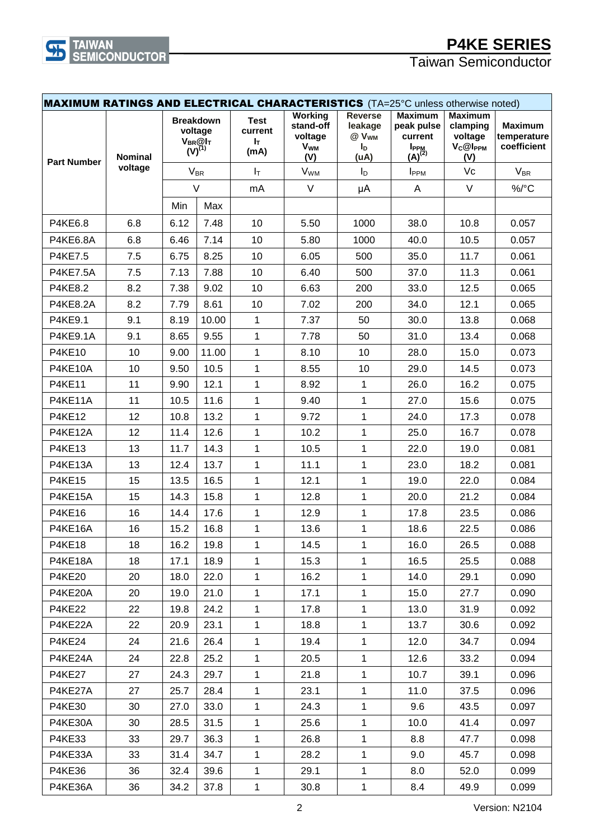

## **P4KE SERIES**

Taiwan Semiconductor

| <b>MAXIMUM RATINGS AND ELECTRICAL CHARACTERISTICS</b> (TA=25°C unless otherwise noted) |                |      |                                                            |                                       |                                                                 |                                                              |                                                                       |                                                               |                                              |
|----------------------------------------------------------------------------------------|----------------|------|------------------------------------------------------------|---------------------------------------|-----------------------------------------------------------------|--------------------------------------------------------------|-----------------------------------------------------------------------|---------------------------------------------------------------|----------------------------------------------|
| <b>Part Number</b>                                                                     | <b>Nominal</b> |      | <b>Breakdown</b><br>voltage<br>$V_{BR}@I_T$<br>$(V)^{(1)}$ | <b>Test</b><br>current<br>ΙŢ,<br>(mA) | Working<br>stand-off<br>voltage<br><b>V<sub>WM</sub></b><br>(V) | <b>Reverse</b><br>leakage<br>@ V <sub>WM</sub><br>Iр<br>(uA) | <b>Maximum</b><br>peak pulse<br>current<br><b>IPPM</b><br>$(A)^{(2)}$ | <b>Maximum</b><br>clamping<br>voltage<br>$V_C@I_{PPM}$<br>(V) | <b>Maximum</b><br>temperature<br>coefficient |
|                                                                                        | voltage        |      | $V_{BR}$                                                   | $I_T$                                 | $V_{WM}$                                                        | $I_D$                                                        | $I_{PPM}$                                                             | Vc                                                            | $V_{BR}$                                     |
|                                                                                        |                |      | V                                                          | mA                                    | V                                                               | μA                                                           | A                                                                     | V                                                             | %/°C                                         |
|                                                                                        |                | Min  | Max                                                        |                                       |                                                                 |                                                              |                                                                       |                                                               |                                              |
| P4KE6.8                                                                                | 6.8            | 6.12 | 7.48                                                       | 10                                    | 5.50                                                            | 1000                                                         | 38.0                                                                  | 10.8                                                          | 0.057                                        |
| <b>P4KE6.8A</b>                                                                        | 6.8            | 6.46 | 7.14                                                       | 10                                    | 5.80                                                            | 1000                                                         | 40.0                                                                  | 10.5                                                          | 0.057                                        |
| P4KE7.5                                                                                | 7.5            | 6.75 | 8.25                                                       | 10                                    | 6.05                                                            | 500                                                          | 35.0                                                                  | 11.7                                                          | 0.061                                        |
| <b>P4KE7.5A</b>                                                                        | 7.5            | 7.13 | 7.88                                                       | 10                                    | 6.40                                                            | 500                                                          | 37.0                                                                  | 11.3                                                          | 0.061                                        |
| P4KE8.2                                                                                | 8.2            | 7.38 | 9.02                                                       | 10                                    | 6.63                                                            | 200                                                          | 33.0                                                                  | 12.5                                                          | 0.065                                        |
| <b>P4KE8.2A</b>                                                                        | 8.2            | 7.79 | 8.61                                                       | 10                                    | 7.02                                                            | 200                                                          | 34.0                                                                  | 12.1                                                          | 0.065                                        |
| P4KE9.1                                                                                | 9.1            | 8.19 | 10.00                                                      | $\mathbf{1}$                          | 7.37                                                            | 50                                                           | 30.0                                                                  | 13.8                                                          | 0.068                                        |
| P4KE9.1A                                                                               | 9.1            | 8.65 | 9.55                                                       | 1                                     | 7.78                                                            | 50                                                           | 31.0                                                                  | 13.4                                                          | 0.068                                        |
| <b>P4KE10</b>                                                                          | 10             | 9.00 | 11.00                                                      | $\mathbf{1}$                          | 8.10                                                            | 10                                                           | 28.0                                                                  | 15.0                                                          | 0.073                                        |
| P4KE10A                                                                                | 10             | 9.50 | 10.5                                                       | 1                                     | 8.55                                                            | 10                                                           | 29.0                                                                  | 14.5                                                          | 0.073                                        |
| <b>P4KE11</b>                                                                          | 11             | 9.90 | 12.1                                                       | $\mathbf{1}$                          | 8.92                                                            | 1                                                            | 26.0                                                                  | 16.2                                                          | 0.075                                        |
| P4KE11A                                                                                | 11             | 10.5 | 11.6                                                       | 1                                     | 9.40                                                            | $\mathbf{1}$                                                 | 27.0                                                                  | 15.6                                                          | 0.075                                        |
| <b>P4KE12</b>                                                                          | 12             | 10.8 | 13.2                                                       | $\mathbf{1}$                          | 9.72                                                            | 1                                                            | 24.0                                                                  | 17.3                                                          | 0.078                                        |
| P4KE12A                                                                                | 12             | 11.4 | 12.6                                                       | 1                                     | 10.2                                                            | $\mathbf{1}$                                                 | 25.0                                                                  | 16.7                                                          | 0.078                                        |
| <b>P4KE13</b>                                                                          | 13             | 11.7 | 14.3                                                       | 1                                     | 10.5                                                            | $\mathbf{1}$                                                 | 22.0                                                                  | 19.0                                                          | 0.081                                        |
| P4KE13A                                                                                | 13             | 12.4 | 13.7                                                       | 1                                     | 11.1                                                            | 1                                                            | 23.0                                                                  | 18.2                                                          | 0.081                                        |
| <b>P4KE15</b>                                                                          | 15             | 13.5 | 16.5                                                       | 1                                     | 12.1                                                            | $\mathbf{1}$                                                 | 19.0                                                                  | 22.0                                                          | 0.084                                        |
| P4KE15A                                                                                | 15             | 14.3 | 15.8                                                       | 1                                     | 12.8                                                            | $\mathbf{1}$                                                 | 20.0                                                                  | 21.2                                                          | 0.084                                        |
| <b>P4KE16</b>                                                                          | 16             | 14.4 | 17.6                                                       | 1                                     | 12.9                                                            | 1                                                            | 17.8                                                                  | 23.5                                                          | 0.086                                        |
| P4KE16A                                                                                | 16             | 15.2 | 16.8                                                       | 1                                     | 13.6                                                            | $\mathbf{1}$                                                 | 18.6                                                                  | 22.5                                                          | 0.086                                        |
| <b>P4KE18</b>                                                                          | 18             | 16.2 | 19.8                                                       | 1                                     | 14.5                                                            | 1                                                            | 16.0                                                                  | 26.5                                                          | 0.088                                        |
| P4KE18A                                                                                | 18             | 17.1 | 18.9                                                       | 1                                     | 15.3                                                            | 1                                                            | 16.5                                                                  | 25.5                                                          | 0.088                                        |
| <b>P4KE20</b>                                                                          | 20             | 18.0 | 22.0                                                       | 1                                     | 16.2                                                            | 1                                                            | 14.0                                                                  | 29.1                                                          | 0.090                                        |
| P4KE20A                                                                                | 20             | 19.0 | 21.0                                                       | $\mathbf{1}$                          | 17.1                                                            | $\mathbf{1}$                                                 | 15.0                                                                  | 27.7                                                          | 0.090                                        |
| <b>P4KE22</b>                                                                          | 22             | 19.8 | 24.2                                                       | 1                                     | 17.8                                                            | 1                                                            | 13.0                                                                  | 31.9                                                          | 0.092                                        |
| P4KE22A                                                                                | 22             | 20.9 | 23.1                                                       | $\mathbf{1}$                          | 18.8                                                            | 1                                                            | 13.7                                                                  | 30.6                                                          | 0.092                                        |
| P4KE24                                                                                 | 24             | 21.6 | 26.4                                                       | 1                                     | 19.4                                                            | 1                                                            | 12.0                                                                  | 34.7                                                          | 0.094                                        |
| P4KE24A                                                                                | 24             | 22.8 | 25.2                                                       | 1                                     | 20.5                                                            | 1                                                            | 12.6                                                                  | 33.2                                                          | 0.094                                        |
| <b>P4KE27</b>                                                                          | 27             | 24.3 | 29.7                                                       | 1                                     | 21.8                                                            | 1                                                            | 10.7                                                                  | 39.1                                                          | 0.096                                        |
| P4KE27A                                                                                | 27             | 25.7 | 28.4                                                       | $\mathbf{1}$                          | 23.1                                                            | 1                                                            | 11.0                                                                  | 37.5                                                          | 0.096                                        |
| <b>P4KE30</b>                                                                          | 30             | 27.0 | 33.0                                                       | $\mathbf{1}$                          | 24.3                                                            | $\mathbf 1$                                                  | 9.6                                                                   | 43.5                                                          | 0.097                                        |
| P4KE30A                                                                                | 30             | 28.5 | 31.5                                                       | $\mathbf{1}$                          | 25.6                                                            | 1                                                            | 10.0                                                                  | 41.4                                                          | 0.097                                        |
| <b>P4KE33</b>                                                                          | 33             | 29.7 | 36.3                                                       | 1                                     | 26.8                                                            | 1                                                            | 8.8                                                                   | 47.7                                                          | 0.098                                        |
| P4KE33A                                                                                | 33             | 31.4 | 34.7                                                       | $\mathbf{1}$                          | 28.2                                                            | 1                                                            | 9.0                                                                   | 45.7                                                          | 0.098                                        |
| P4KE36                                                                                 | 36             | 32.4 | 39.6                                                       | $\mathbf{1}$                          | 29.1                                                            | $\mathbf{1}$                                                 | 8.0                                                                   | 52.0                                                          | 0.099                                        |
| P4KE36A                                                                                | 36             | 34.2 | 37.8                                                       | $\mathbf{1}$                          | 30.8                                                            | $\mathbf 1$                                                  | 8.4                                                                   | 49.9                                                          | 0.099                                        |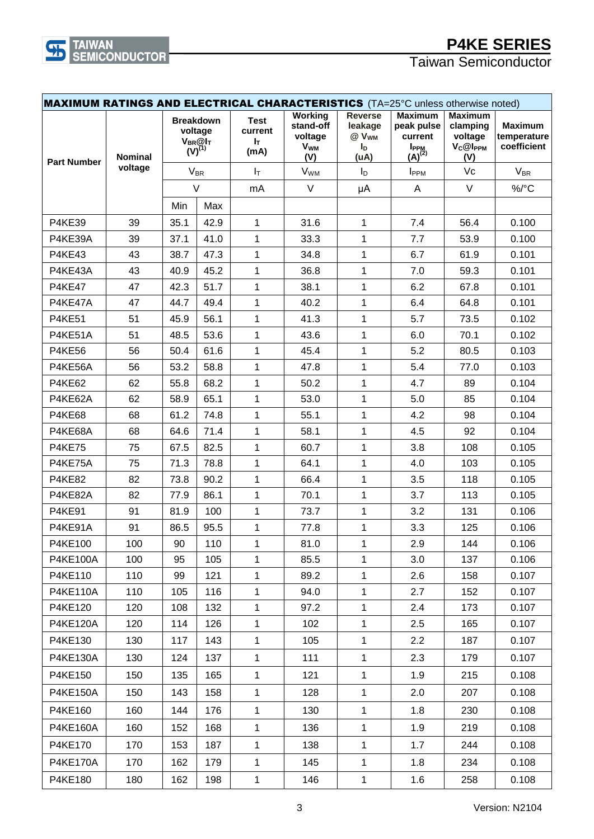

## **P4KE SERIES**

Taiwan Semiconductor

| <b>MAXIMUM RATINGS AND ELECTRICAL CHARACTERISTICS</b> (TA=25°C unless otherwise noted) |         |      |          |                                                            |                                       |                                                                 |                                                                          |                                                                                   |                                                               |                                              |
|----------------------------------------------------------------------------------------|---------|------|----------|------------------------------------------------------------|---------------------------------------|-----------------------------------------------------------------|--------------------------------------------------------------------------|-----------------------------------------------------------------------------------|---------------------------------------------------------------|----------------------------------------------|
| <b>Part Number</b>                                                                     | Nominal |      |          | <b>Breakdown</b><br>voltage<br>$V_{BR}@I_T$<br>$(V)^{(1)}$ | <b>Test</b><br>current<br>ŀт.<br>(mA) | Working<br>stand-off<br>voltage<br><b>V<sub>WM</sub></b><br>(V) | <b>Reverse</b><br>leakage<br>@ V <sub>WM</sub><br>$I_{\text{D}}$<br>(uA) | <b>Maximum</b><br>peak pulse<br>current<br><b>I</b> <sub>PPM</sub><br>$(A)^{(2)}$ | <b>Maximum</b><br>clamping<br>voltage<br>$V_C@I_{PPM}$<br>(V) | <b>Maximum</b><br>temperature<br>coefficient |
|                                                                                        | voltage |      | $V_{BR}$ | $I_T$                                                      | $V_{WM}$                              | $I_D$                                                           | $I_{PPM}$                                                                | Vc                                                                                | $V_{BR}$                                                      |                                              |
|                                                                                        |         |      | V        | mA                                                         | V                                     | μA                                                              | A                                                                        | V                                                                                 | %/°C                                                          |                                              |
|                                                                                        |         | Min  | Max      |                                                            |                                       |                                                                 |                                                                          |                                                                                   |                                                               |                                              |
| <b>P4KE39</b>                                                                          | 39      | 35.1 | 42.9     | 1                                                          | 31.6                                  | $\mathbf{1}$                                                    | 7.4                                                                      | 56.4                                                                              | 0.100                                                         |                                              |
| P4KE39A                                                                                | 39      | 37.1 | 41.0     | 1                                                          | 33.3                                  | $\mathbf{1}$                                                    | 7.7                                                                      | 53.9                                                                              | 0.100                                                         |                                              |
| <b>P4KE43</b>                                                                          | 43      | 38.7 | 47.3     | $\mathbf{1}$                                               | 34.8                                  | 1                                                               | 6.7                                                                      | 61.9                                                                              | 0.101                                                         |                                              |
| P4KE43A                                                                                | 43      | 40.9 | 45.2     | 1                                                          | 36.8                                  | 1                                                               | 7.0                                                                      | 59.3                                                                              | 0.101                                                         |                                              |
| <b>P4KE47</b>                                                                          | 47      | 42.3 | 51.7     | 1                                                          | 38.1                                  | $\mathbf{1}$                                                    | 6.2                                                                      | 67.8                                                                              | 0.101                                                         |                                              |
| P4KE47A                                                                                | 47      | 44.7 | 49.4     | $\mathbf{1}$                                               | 40.2                                  | 1                                                               | 6.4                                                                      | 64.8                                                                              | 0.101                                                         |                                              |
| <b>P4KE51</b>                                                                          | 51      | 45.9 | 56.1     | 1                                                          | 41.3                                  | 1                                                               | 5.7                                                                      | 73.5                                                                              | 0.102                                                         |                                              |
| P4KE51A                                                                                | 51      | 48.5 | 53.6     | 1                                                          | 43.6                                  | $\mathbf{1}$                                                    | 6.0                                                                      | 70.1                                                                              | 0.102                                                         |                                              |
| <b>P4KE56</b>                                                                          | 56      | 50.4 | 61.6     | $\mathbf{1}$                                               | 45.4                                  | 1                                                               | 5.2                                                                      | 80.5                                                                              | 0.103                                                         |                                              |
| P4KE56A                                                                                | 56      | 53.2 | 58.8     | 1                                                          | 47.8                                  | 1                                                               | 5.4                                                                      | 77.0                                                                              | 0.103                                                         |                                              |
| <b>P4KE62</b>                                                                          | 62      | 55.8 | 68.2     | $\mathbf{1}$                                               | 50.2                                  | $\mathbf{1}$                                                    | 4.7                                                                      | 89                                                                                | 0.104                                                         |                                              |
| P4KE62A                                                                                | 62      | 58.9 | 65.1     | $\mathbf{1}$                                               | 53.0                                  | 1                                                               | 5.0                                                                      | 85                                                                                | 0.104                                                         |                                              |
| <b>P4KE68</b>                                                                          | 68      | 61.2 | 74.8     | 1                                                          | 55.1                                  | 1                                                               | 4.2                                                                      | 98                                                                                | 0.104                                                         |                                              |
| P4KE68A                                                                                | 68      | 64.6 | 71.4     | $\mathbf{1}$                                               | 58.1                                  | $\mathbf{1}$                                                    | 4.5                                                                      | 92                                                                                | 0.104                                                         |                                              |
| <b>P4KE75</b>                                                                          | 75      | 67.5 | 82.5     | $\mathbf{1}$                                               | 60.7                                  | 1                                                               | 3.8                                                                      | 108                                                                               | 0.105                                                         |                                              |
| P4KE75A                                                                                | 75      | 71.3 | 78.8     | 1                                                          | 64.1                                  | 1                                                               | 4.0                                                                      | 103                                                                               | 0.105                                                         |                                              |
| <b>P4KE82</b>                                                                          | 82      | 73.8 | 90.2     | 1                                                          | 66.4                                  | 1                                                               | 3.5                                                                      | 118                                                                               | 0.105                                                         |                                              |
| P4KE82A                                                                                | 82      | 77.9 | 86.1     | $\mathbf{1}$                                               | 70.1                                  | $\mathbf{1}$                                                    | 3.7                                                                      | 113                                                                               | 0.105                                                         |                                              |
| <b>P4KE91</b>                                                                          | 91      | 81.9 | 100      | 1                                                          | 73.7                                  | 1                                                               | 3.2                                                                      | 131                                                                               | 0.106                                                         |                                              |
| P4KE91A                                                                                | 91      | 86.5 | 95.5     | 1                                                          | 77.8                                  | 1                                                               | 3.3                                                                      | 125                                                                               | 0.106                                                         |                                              |
| P4KE100                                                                                | 100     | 90   | 110      | 1                                                          | 81.0                                  | 1                                                               | 2.9                                                                      | 144                                                                               | 0.106                                                         |                                              |
| <b>P4KE100A</b>                                                                        | 100     | 95   | 105      | $\mathbf{1}$                                               | 85.5                                  | 1                                                               | 3.0                                                                      | 137                                                                               | 0.106                                                         |                                              |
| P4KE110                                                                                | 110     | 99   | 121      | 1                                                          | 89.2                                  | 1                                                               | 2.6                                                                      | 158                                                                               | 0.107                                                         |                                              |
| <b>P4KE110A</b>                                                                        | 110     | 105  | 116      | $\mathbf{1}$                                               | 94.0                                  | $\mathbf 1$                                                     | 2.7                                                                      | 152                                                                               | 0.107                                                         |                                              |
| P4KE120                                                                                | 120     | 108  | 132      | $\mathbf{1}$                                               | 97.2                                  | $\mathbf{1}$                                                    | 2.4                                                                      | 173                                                                               | 0.107                                                         |                                              |
| <b>P4KE120A</b>                                                                        | 120     | 114  | 126      | 1                                                          | 102                                   | 1                                                               | 2.5                                                                      | 165                                                                               | 0.107                                                         |                                              |
| P4KE130                                                                                | 130     | 117  | 143      | $\mathbf{1}$                                               | 105                                   | 1                                                               | 2.2                                                                      | 187                                                                               | 0.107                                                         |                                              |
| <b>P4KE130A</b>                                                                        | 130     | 124  | 137      | $\mathbf{1}$                                               | 111                                   | $\mathbf{1}$                                                    | 2.3                                                                      | 179                                                                               | 0.107                                                         |                                              |
| P4KE150                                                                                | 150     | 135  | 165      | $\mathbf{1}$                                               | 121                                   | $\mathbf 1$                                                     | 1.9                                                                      | 215                                                                               | 0.108                                                         |                                              |
| <b>P4KE150A</b>                                                                        | 150     | 143  | 158      | $\mathbf{1}$                                               | 128                                   | $\mathbf 1$                                                     | 2.0                                                                      | 207                                                                               | 0.108                                                         |                                              |
| P4KE160                                                                                | 160     | 144  | 176      | $\mathbf{1}$                                               | 130                                   | $\mathbf 1$                                                     | 1.8                                                                      | 230                                                                               | 0.108                                                         |                                              |
| <b>P4KE160A</b>                                                                        | 160     | 152  | 168      | $\mathbf{1}$                                               | 136                                   | $\mathbf 1$                                                     | 1.9                                                                      | 219                                                                               | 0.108                                                         |                                              |
| P4KE170                                                                                | 170     | 153  | 187      | $\mathbf{1}$                                               | 138                                   | 1                                                               | 1.7                                                                      | 244                                                                               | 0.108                                                         |                                              |
| <b>P4KE170A</b>                                                                        | 170     | 162  | 179      | $\mathbf{1}$                                               | 145                                   | 1                                                               | 1.8                                                                      | 234                                                                               | 0.108                                                         |                                              |
| P4KE180                                                                                | 180     | 162  | 198      | $\mathbf 1$                                                | 146                                   | $\mathbf 1$                                                     | 1.6                                                                      | 258                                                                               | 0.108                                                         |                                              |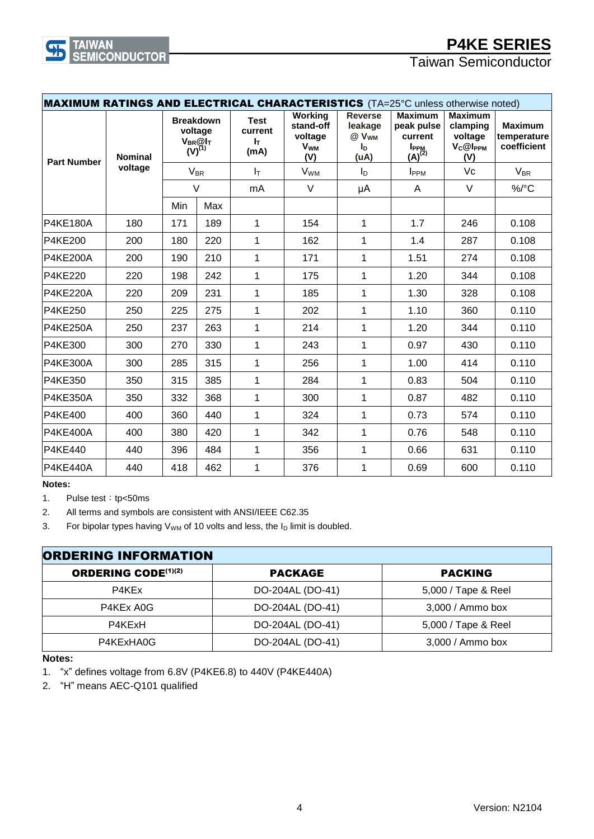

## **P4KE SERIES**

Taiwan Semiconductor

| <b>MAXIMUM RATINGS AND ELECTRICAL CHARACTERISTICS</b> (TA=25°C unless otherwise noted) |                    |                |          |                                                                        |                                       |                                                                 |                                                                          |                                                                        |                                                               |                                              |
|----------------------------------------------------------------------------------------|--------------------|----------------|----------|------------------------------------------------------------------------|---------------------------------------|-----------------------------------------------------------------|--------------------------------------------------------------------------|------------------------------------------------------------------------|---------------------------------------------------------------|----------------------------------------------|
|                                                                                        | <b>Part Number</b> | <b>Nominal</b> |          | <b>Breakdown</b><br>voltage<br>$V_{BR}$ @I <sub>T</sub><br>$(V)^{(1)}$ | <b>Test</b><br>current<br>ŀт.<br>(mA) | Working<br>stand-off<br>voltage<br><b>V<sub>WM</sub></b><br>(V) | <b>Reverse</b><br>leakage<br>@ V <sub>WM</sub><br>I <sub>D</sub><br>(uA) | <b>Maximum</b><br>peak pulse<br>current<br><b>I</b> PPM<br>$(A)^{(2)}$ | <b>Maximum</b><br>clamping<br>voltage<br>$V_C@I_{PPM}$<br>(V) | <b>Maximum</b><br>temperature<br>coefficient |
|                                                                                        | voltage            |                | $V_{BR}$ | $I_T$                                                                  | <b>V<sub>WM</sub></b>                 | $I_{\text{D}}$                                                  | $I_{PPM}$                                                                | Vc                                                                     | $V_{BR}$                                                      |                                              |
|                                                                                        |                    |                | $\vee$   | mA                                                                     | V                                     | μA                                                              | A                                                                        | V                                                                      | %/°C                                                          |                                              |
|                                                                                        |                    | Min            | Max      |                                                                        |                                       |                                                                 |                                                                          |                                                                        |                                                               |                                              |
| <b>P4KE180A</b>                                                                        | 180                | 171            | 189      | $\mathbf{1}$                                                           | 154                                   | $\mathbf{1}$                                                    | 1.7                                                                      | 246                                                                    | 0.108                                                         |                                              |
| P4KE200                                                                                | 200                | 180            | 220      | 1                                                                      | 162                                   | 1                                                               | 1.4                                                                      | 287                                                                    | 0.108                                                         |                                              |
| P4KE200A                                                                               | 200                | 190            | 210      | 1                                                                      | 171                                   | 1                                                               | 1.51                                                                     | 274                                                                    | 0.108                                                         |                                              |
| <b>P4KE220</b>                                                                         | 220                | 198            | 242      | 1                                                                      | 175                                   | 1                                                               | 1.20                                                                     | 344                                                                    | 0.108                                                         |                                              |
| P4KE220A                                                                               | 220                | 209            | 231      | 1                                                                      | 185                                   | 1                                                               | 1.30                                                                     | 328                                                                    | 0.108                                                         |                                              |
| P4KE250                                                                                | 250                | 225            | 275      | 1                                                                      | 202                                   | 1                                                               | 1.10                                                                     | 360                                                                    | 0.110                                                         |                                              |
| <b>P4KE250A</b>                                                                        | 250                | 237            | 263      | 1                                                                      | 214                                   | 1                                                               | 1.20                                                                     | 344                                                                    | 0.110                                                         |                                              |
| P4KE300                                                                                | 300                | 270            | 330      | 1                                                                      | 243                                   | 1                                                               | 0.97                                                                     | 430                                                                    | 0.110                                                         |                                              |
| P4KE300A                                                                               | 300                | 285            | 315      | 1                                                                      | 256                                   | 1                                                               | 1.00                                                                     | 414                                                                    | 0.110                                                         |                                              |
| P4KE350                                                                                | 350                | 315            | 385      | 1                                                                      | 284                                   | 1                                                               | 0.83                                                                     | 504                                                                    | 0.110                                                         |                                              |
| <b>P4KE350A</b>                                                                        | 350                | 332            | 368      | 1                                                                      | 300                                   | 1                                                               | 0.87                                                                     | 482                                                                    | 0.110                                                         |                                              |
| P4KE400                                                                                | 400                | 360            | 440      | 1                                                                      | 324                                   | 1                                                               | 0.73                                                                     | 574                                                                    | 0.110                                                         |                                              |
| P4KE400A                                                                               | 400                | 380            | 420      | $\mathbf{1}$                                                           | 342                                   | 1                                                               | 0.76                                                                     | 548                                                                    | 0.110                                                         |                                              |
| <b>P4KE440</b>                                                                         | 440                | 396            | 484      | 1                                                                      | 356                                   | 1                                                               | 0.66                                                                     | 631                                                                    | 0.110                                                         |                                              |
| P4KE440A                                                                               | 440                | 418            | 462      | 1                                                                      | 376                                   | 1                                                               | 0.69                                                                     | 600                                                                    | 0.110                                                         |                                              |

#### **Notes:**

1. Pulse test: tp<50ms

2. All terms and symbols are consistent with ANSI/IEEE C62.35

3. For bipolar types having  $V_{WM}$  of 10 volts and less, the  $I_D$  limit is doubled.

| <b>ORDERING INFORMATION</b> |                  |                     |
|-----------------------------|------------------|---------------------|
| <b>ORDERING CODE(1)(2)</b>  | <b>PACKAGE</b>   | <b>PACKING</b>      |
| P4KE <sub>x</sub>           | DO-204AL (DO-41) | 5,000 / Tape & Reel |
| P4KEx A0G                   | DO-204AL (DO-41) | 3,000 / Ammo box    |
| P4KExH                      | DO-204AL (DO-41) | 5,000 / Tape & Reel |
| P4KExHA0G                   | DO-204AL (DO-41) | 3,000 / Ammo box    |

#### **Notes:**

- 1. "x" defines voltage from 6.8V (P4KE6.8) to 440V (P4KE440A)
- 2. "H" means AEC-Q101 qualified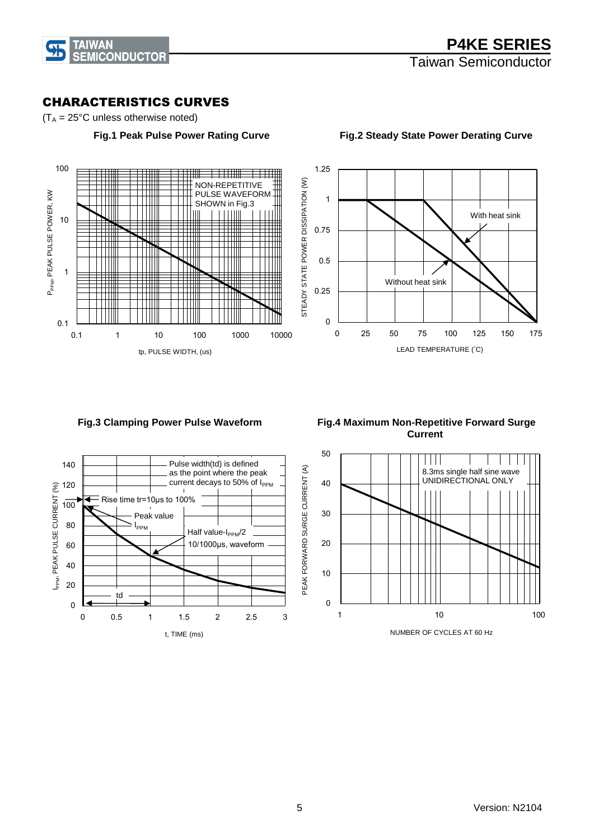

## CHARACTERISTICS CURVES

 $(T_A = 25^{\circ}C$  unless otherwise noted)

 **Fig.1 Peak Pulse Power Rating Curve**

 **Fig.2 Steady State Power Derating Curve**





#### **Fig.3 Clamping Power Pulse Waveform**

**Fig.4 Maximum Non-Repetitive Forward Surge Current**



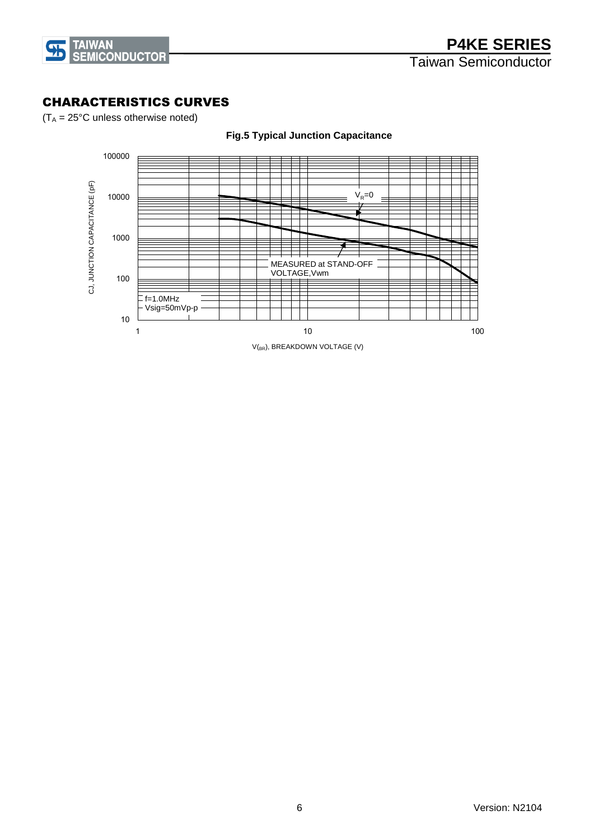

## CHARACTERISTICS CURVES

 $(T_A = 25^{\circ}C$  unless otherwise noted)

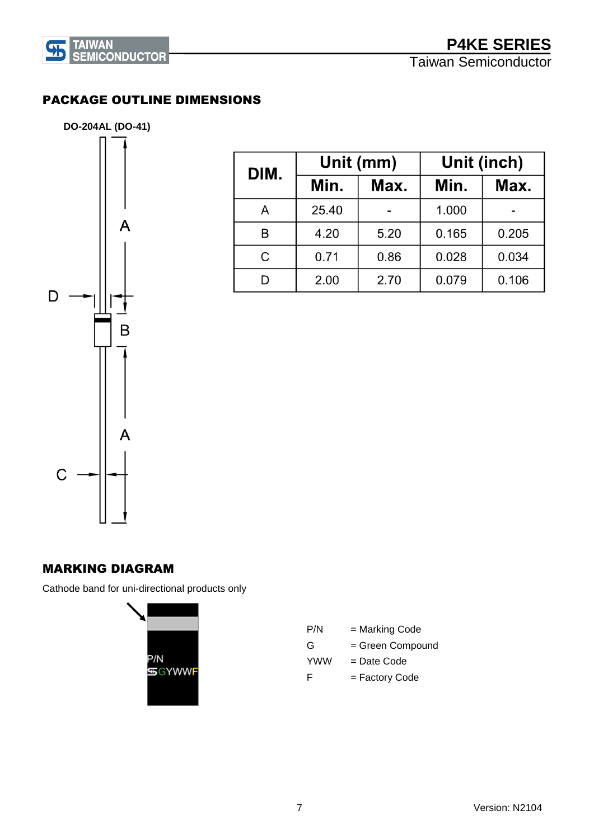

### PACKAGE OUTLINE DIMENSIONS



| DIM. | Unit (mm) |      | Unit (inch) |       |  |
|------|-----------|------|-------------|-------|--|
|      | Min.      | Max. | Min.        | Max.  |  |
| A    | 25.40     |      | 1.000       |       |  |
| B    | 4.20      | 5.20 | 0.165       | 0.205 |  |
| C    | 0.71      | 0.86 | 0.028       | 0.034 |  |
|      | 2.00      | 2.70 | 0.079       | 0.106 |  |

#### MARKING DIAGRAM

Cathode band for uni-directional products only



| P/N        | = Marking Code   |
|------------|------------------|
| G          | = Green Compound |
| <b>YWW</b> | = Date Code      |
| F          | = Factory Code   |